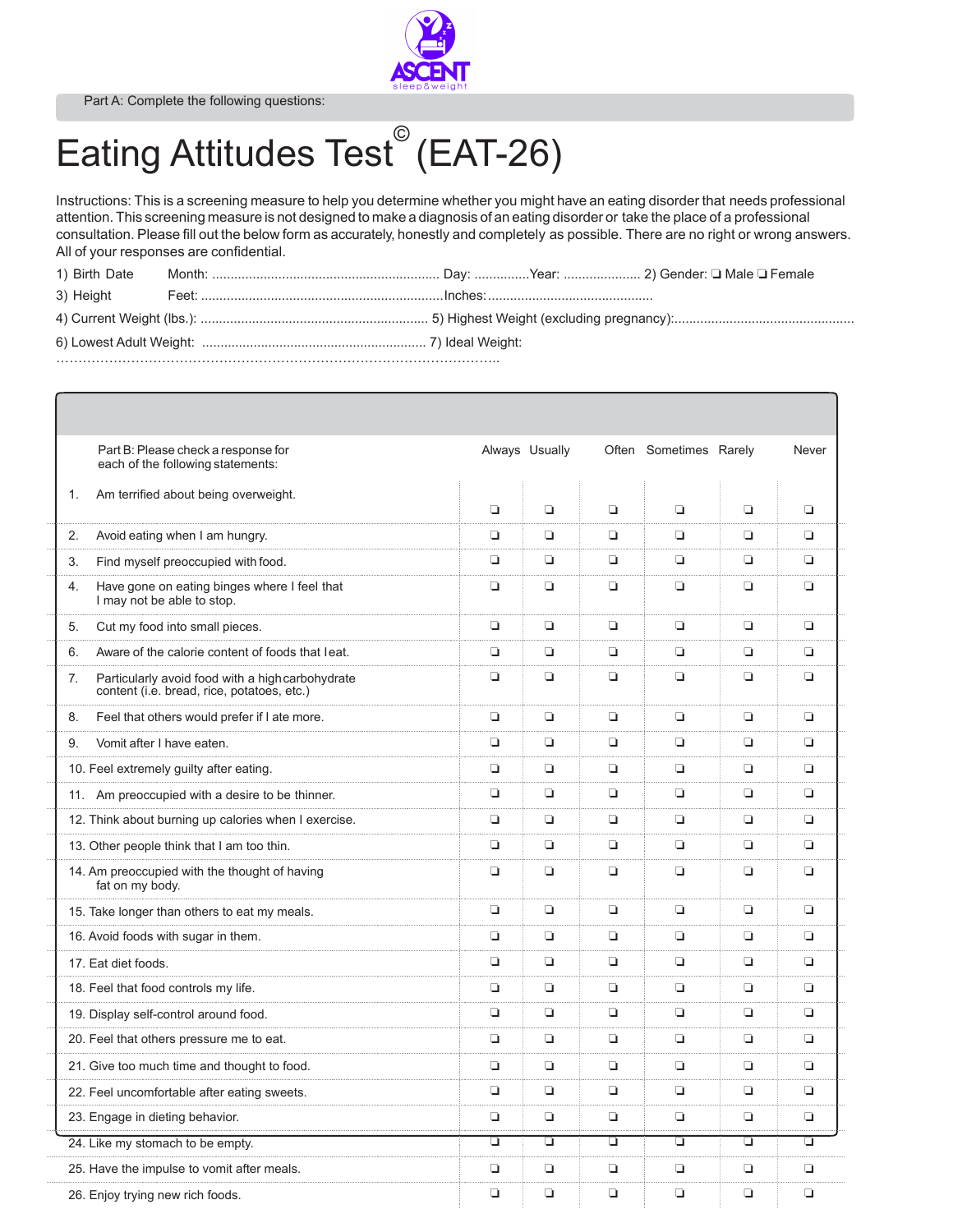Part A: Complete the following questions:



## Eating Attitudes Test<sup>®</sup> (EAT-26)

Instructions: This is a screening measure to help you determine whether you might have an eating disorder that needs professional attention. This screening measure is not designed to make a diagnosis of an eating disorder or take the place of a professional consultation. Please fill out the below form as accurately, honestly and completely as possible. There are no right or wrong answers. All of your responses are confidential.

| 1) Birth Date |  |  |  |  |  |  |
|---------------|--|--|--|--|--|--|
|               |  |  |  |  |  |  |
|               |  |  |  |  |  |  |
|               |  |  |  |  |  |  |
|               |  |  |  |  |  |  |

|                | Part B: Please check a response for<br>each of the following statements:                       |        | Always Usually |        | Often Sometimes Rarely |        | Never  |
|----------------|------------------------------------------------------------------------------------------------|--------|----------------|--------|------------------------|--------|--------|
| $\mathbf{1}$ . | Am terrified about being overweight.                                                           | o      | $\Box$         | Q.     | $\Box$                 | $\Box$ | Q.     |
| 2.             | Avoid eating when I am hungry.                                                                 | $\Box$ | $\Box$         | Q      | $\Box$                 | Q      | $\Box$ |
| 3.             | Find myself preoccupied with food.                                                             | $\Box$ | $\Box$         | Q.     | $\Box$                 | $\Box$ | o      |
| 4.             | Have gone on eating binges where I feel that<br>I may not be able to stop.                     | o      | $\Box$         | Q.     | $\Box$                 | ❏      | o      |
| 5.             | Cut my food into small pieces.                                                                 | $\Box$ | $\Box$         | $\Box$ | $\Box$                 | $\Box$ | $\Box$ |
| 6.             | Aware of the calorie content of foods that leat.                                               | $\Box$ | $\Box$         | Q.     | $\Box$                 | $\Box$ | $\Box$ |
| 7.             | Particularly avoid food with a high carbohydrate<br>content (i.e. bread, rice, potatoes, etc.) | $\Box$ | $\Box$         | Q.     | $\Box$                 | $\Box$ | Q.     |
| 8.             | Feel that others would prefer if I ate more.                                                   | $\Box$ | $\Box$         | Q.     | $\Box$                 | Q      | $\Box$ |
| 9.             | Vomit after I have eaten.                                                                      | $\Box$ | $\Box$         | Q.     | $\Box$                 | Q      | $\Box$ |
|                | 10. Feel extremely guilty after eating.                                                        | $\Box$ | $\Box$         | Q.     | $\Box$                 | $\Box$ | $\Box$ |
|                | 11. Am preoccupied with a desire to be thinner.                                                | $\Box$ | $\Box$         | Q.     | $\Box$                 | $\Box$ | $\Box$ |
|                | 12. Think about burning up calories when I exercise.                                           | o      | $\Box$         | o.     | $\Box$                 | ❏      | $\Box$ |
|                | 13. Other people think that I am too thin.                                                     | $\Box$ | $\Box$         | O.     | $\Box$                 | $\Box$ | o.     |
|                | 14. Am preoccupied with the thought of having<br>fat on my body.                               | o      | $\Box$         | Q.     | $\Box$                 | $\Box$ | $\Box$ |
|                | 15. Take longer than others to eat my meals.                                                   | $\Box$ | $\Box$         | o.     | $\Box$                 | $\Box$ | o.     |
|                | 16. Avoid foods with sugar in them.                                                            | ▫      | $\Box$         | o.     | $\Box$                 | ❏      | o      |
|                | 17. Eat diet foods.                                                                            | ▫      | ▫              | o.     | ▫                      | ❏      | o.     |
|                | 18. Feel that food controls my life.                                                           | $\Box$ | $\Box$         | Q.     | $\Box$                 | Q      | $\Box$ |
|                | 19. Display self-control around food.                                                          | $\Box$ | $\Box$         | Q.     | $\Box$                 | $\Box$ | $\Box$ |
|                | 20. Feel that others pressure me to eat.                                                       | $\Box$ | $\Box$         | O      | $\Box$                 | ❏      | $\Box$ |
|                | 21. Give too much time and thought to food.                                                    | $\Box$ | $\Box$         | Q.     | $\Box$                 | $\Box$ | $\Box$ |
|                | 22. Feel uncomfortable after eating sweets.                                                    | $\Box$ | $\Box$         | Q.     | $\Box$                 | ❏      | $\Box$ |
|                | 23. Engage in dieting behavior.                                                                | o      | $\Box$         | Q.     | $\Box$                 | Q      | o      |
|                | 24. Like my stomach to be empty.                                                               | □      | □              | ▫      | □                      | □      | □      |
|                | 25. Have the impulse to vomit after meals.                                                     | $\Box$ | O.             | Q.     | $\Box$                 | $\Box$ | $\Box$ |
|                | 26. Enjoy trying new rich foods.                                                               | $\Box$ | $\Box$         | Q.     | $\Box$                 | $\Box$ | $\Box$ |